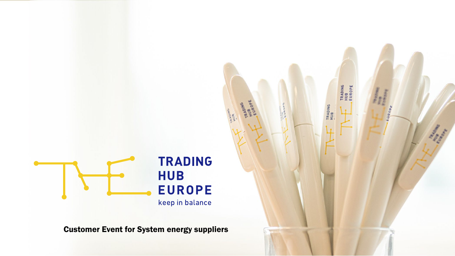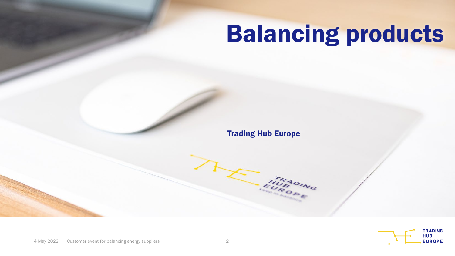# Balancing products

Trading Hub Europe

RADING

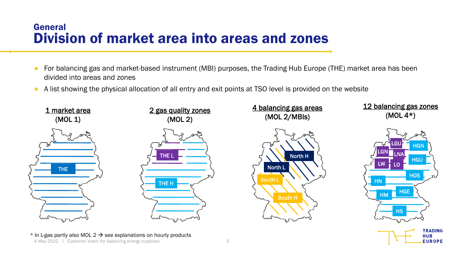#### General Division of market area into areas and zones

- For balancing gas and market-based instrument (MBI) purposes, the Trading Hub Europe (THE) market area has been divided into areas and zones
- A list showing the physical allocation of all entry and exit points at TSO level is provided on the website



**HUB EUROPE**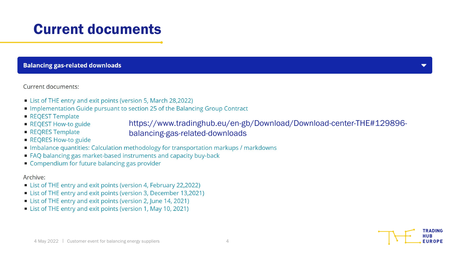# Current documents

#### **Balancing gas-related downloads**

Current documents:

- List of THE entry and exit points (version 5, March 28,2022)
- Implementation Guide pursuant to section 25 of the Balancing Group Contract
- REQEST Template
- REQEST How-to guide

https://www.tradinghub.eu/en-gb/Download/Download-center-THE#129896-

REQRES Template

balancing-gas-related-downloads

- REQRES How-to guide
- Imbalance quantities: Calculation methodology for transportation markups / markdowns
- FAQ balancing gas market-based instruments and capacity buy-back
- Compendium for future balancing gas provider

#### Archive:

- List of THE entry and exit points (version 4, February 22,2022)
- List of THE entry and exit points (version 3, December 13,2021)
- List of THE entry and exit points (version 2, June 14, 2021)
- List of THE entry and exit points (version 1, May 10, 2021)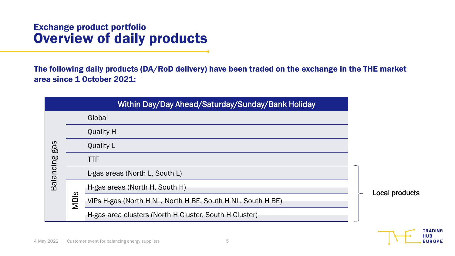#### Exchange product portfolio Overview of daily products

The following daily products (DA/RoD delivery) have been traded on the exchange in the THE market area since 1 October 2021:

|                  |      | Within Day/Day Ahead/Saturday/Sunday/Bank Holiday           |                |  |
|------------------|------|-------------------------------------------------------------|----------------|--|
|                  |      | Global                                                      |                |  |
| gas<br>Balancing |      | <b>Quality H</b>                                            |                |  |
|                  |      | <b>Quality L</b>                                            |                |  |
|                  |      | <b>TTF</b>                                                  |                |  |
|                  |      | L-gas areas (North L, South L)                              |                |  |
|                  | MBIs | H-gas areas (North H, South H)                              | Local products |  |
|                  |      | VIPs H-gas (North H NL, North H BE, South H NL, South H BE) |                |  |
|                  |      | H-gas area clusters (North H Cluster, South H Cluster)      |                |  |

TRADING **HUB EUROPE**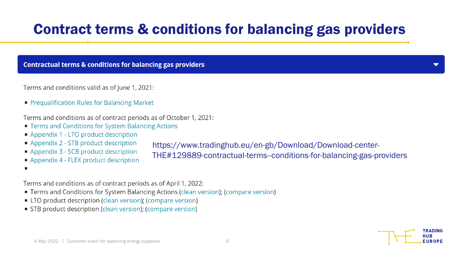# Contract terms & conditions for balancing gas providers

**Contractual terms & conditions for balancing gas providers** 

Terms and conditions valid as of June 1, 2021:

• Prequalification Rules for Balancing Market

Terms and conditions as of contract periods as of October 1, 2021:

- Terms and Conditions for System Balancing Actions
- Appendix 1 LTO product description
- Appendix 2 STB product description
- Appendix 3 SCB product description
- Appendix 4 FLEX product description
- 

Terms and conditions as of contract periods as of April 1, 2022:

- Terms and Conditions for System Balancing Actions (clean version); (compare version)
- LTO product description (clean version); (compare version)
- STB product description (clean version); (compare version)

https://www.tradinghub.eu/en-gb/Download/Download-center-

THE#129889-contractual-terms--conditions-for-balancing-gas-providers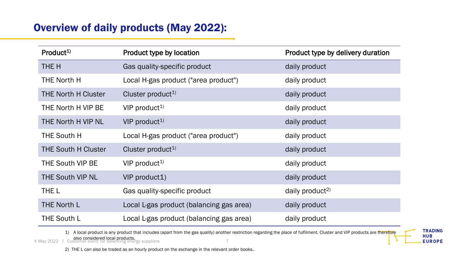### Overview of daily products (May 2022):

| Product <sup>1)</sup>      | Product type by location                 | Product type by delivery duration |
|----------------------------|------------------------------------------|-----------------------------------|
| THE H                      | Gas quality-specific product             | daily product                     |
| <b>THE North H</b>         | Local H-gas product ("area product")     | daily product                     |
| <b>THE North H Cluster</b> | Cluster product <sup>1)</sup>            | daily product                     |
| THE North H VIP BE         | $VIP$ product <sup>1)</sup>              | daily product                     |
| THE North H VIP NL         | VIP product <sup>1)</sup>                | daily product                     |
| <b>THE South H</b>         | Local H-gas product ("area product")     | daily product                     |
| <b>THE South H Cluster</b> | Cluster product <sup>1)</sup>            | daily product                     |
| <b>THE South VIP BE</b>    | $VIP$ product <sup>1)</sup>              | daily product                     |
| <b>THE South VIP NL</b>    | VIP product1)                            | daily product                     |
| THE L                      | Gas quality-specific product             | daily product <sup>2)</sup>       |
| <b>THE North L</b>         | Local L-gas product (balancing gas area) | daily product                     |
| <b>THE South L</b>         | Local L-gas product (balancing gas area) | daily product                     |

1) A local product is any product that includes (apart from the gas quality) another restriction regarding the place of fulfilment. Cluster and VIP products are therefore

**TRADING HUB EUROPE** 

4 May 2022 | **also considered local products.**<br>4 May 2022 | Customer event for balancing energy suppliers

2) THE L can also be traded as an hourly product on the exchange in the relevant order books..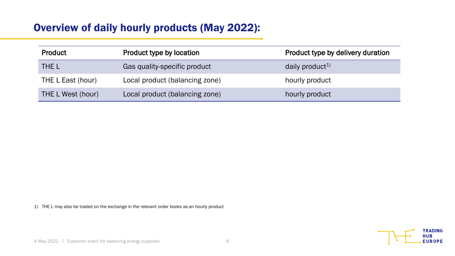#### Overview of daily hourly products (May 2022):

| <b>Product</b>    | Product type by location       | Product type by delivery duration |
|-------------------|--------------------------------|-----------------------------------|
| THE L             | Gas quality-specific product   | daily product <sup>1)</sup>       |
| THE L East (hour) | Local product (balancing zone) | hourly product                    |
| THE L West (hour) | Local product (balancing zone) | hourly product                    |

1) THE L may also be traded on the exchange in the relevant order books as an hourly product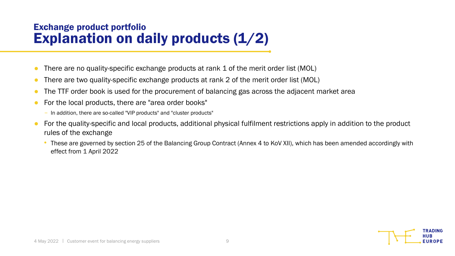#### Exchange product portfolio Explanation on daily products (1/2)

- There are no quality-specific exchange products at rank 1 of the merit order list (MOL)
- There are two quality-specific exchange products at rank 2 of the merit order list (MOL)
- The TTF order book is used for the procurement of balancing gas across the adjacent market area
- For the local products, there are "area order books"
	- In addition, there are so-called "VIP products" and "cluster products"
- For the quality-specific and local products, additional physical fulfilment restrictions apply in addition to the product rules of the exchange
	- These are governed by section 25 of the Balancing Group Contract (Annex 4 to KoV XII), which has been amended accordingly with effect from 1 April 2022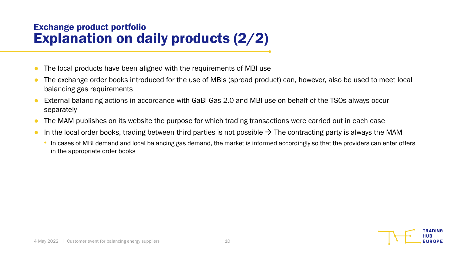### Exchange product portfolio Explanation on daily products (2/2)

- The local products have been aligned with the requirements of MBI use
- The exchange order books introduced for the use of MBIs (spread product) can, however, also be used to meet local balancing gas requirements
- External balancing actions in accordance with GaBi Gas 2.0 and MBI use on behalf of the TSOs always occur separately
- The MAM publishes on its website the purpose for which trading transactions were carried out in each case
- In the local order books, trading between third parties is not possible  $\rightarrow$  The contracting party is always the MAM
	- In cases of MBI demand and local balancing gas demand, the market is informed accordingly so that the providers can enter offers in the appropriate order books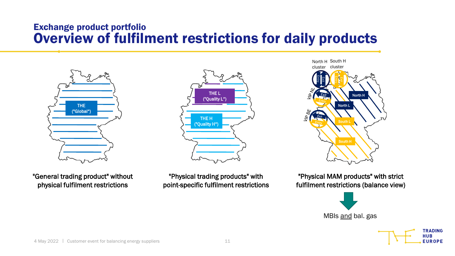#### Exchange product portfolio Overview of fulfilment restrictions for daily products



"General trading product" without physical fulfilment restrictions



"Physical trading products" with point-specific fulfilment restrictions

North H South H Entry Exit Entry Exit North H South H cluster cluster North L South L

"Physical MAM products" with strict fulfilment restrictions (balance view)



**TRADING HUB EUROPE**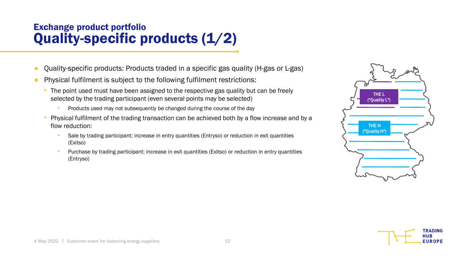### Exchange product portfolio Quality-specific products (1/2)

- Quality-specific products: Products traded in a specific gas quality (H-gas or L-gas)
- Physical fulfilment is subject to the following fulfilment restrictions:
	- The point used must have been assigned to the respective gas quality but can be freely selected by the trading participant (even several points may be selected)
		- Products used may not subsequently be changed during the course of the day
	- Physical fulfilment of the trading transaction can be achieved both by a flow increase and by a flow reduction:
		- Sale by trading participant: increase in entry quantities (Entryso) or reduction in exit quantities (Exitso)
		- Purchase by trading participant: increase in exit quantities (Exitso) or reduction in entry quantities (Entryso)



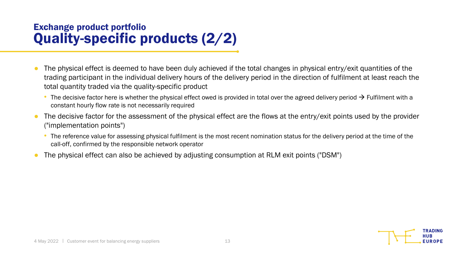### Exchange product portfolio Quality-specific products (2/2)

- The physical effect is deemed to have been duly achieved if the total changes in physical entry/exit quantities of the trading participant in the individual delivery hours of the delivery period in the direction of fulfilment at least reach the total quantity traded via the quality-specific product
	- The decisive factor here is whether the physical effect owed is provided in total over the agreed delivery period  $\rightarrow$  Fulfilment with a constant hourly flow rate is not necessarily required
- The decisive factor for the assessment of the physical effect are the flows at the entry/exit points used by the provider ("implementation points")
	- The reference value for assessing physical fulfilment is the most recent nomination status for the delivery period at the time of the call-off, confirmed by the responsible network operator
- The physical effect can also be achieved by adjusting consumption at RLM exit points ("DSM")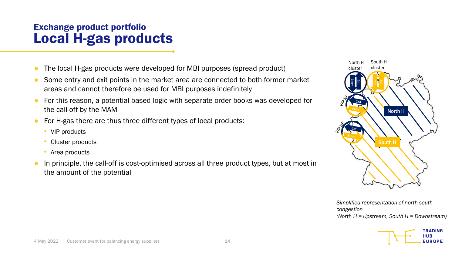#### Exchange product portfolio Local H-gas products

- The local H-gas products were developed for MBI purposes (spread product)
- Some entry and exit points in the market area are connected to both former market areas and cannot therefore be used for MBI purposes indefinitely
- For this reason, a potential-based logic with separate order books was developed for the call-off by the MAM
- For H-gas there are thus three different types of local products:
	- VIP products
	- Cluster products
	- Area products
- In principle, the call-off is cost-optimised across all three product types, but at most in the amount of the potential



*Simplified representation of north-south congestion (North H = Upstream, South H = Downstream)*

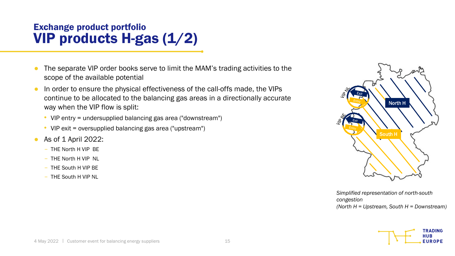### Exchange product portfolio VIP products H-gas (1/2)

- The separate VIP order books serve to limit the MAM's trading activities to the scope of the available potential
- In order to ensure the physical effectiveness of the call-offs made, the VIPs continue to be allocated to the balancing gas areas in a directionally accurate way when the VIP flow is split:
	- VIP entry = undersupplied balancing gas area ("downstream")
	- VIP exit = oversupplied balancing gas area ("upstream")
- As of 1 April 2022:
	- THE North H VIP BE
	- THE North H VIP NL
	- THE South H VIP BE
	- THE South H VIP NL



*Simplified representation of north-south congestion (North H = Upstream, South H = Downstream)*

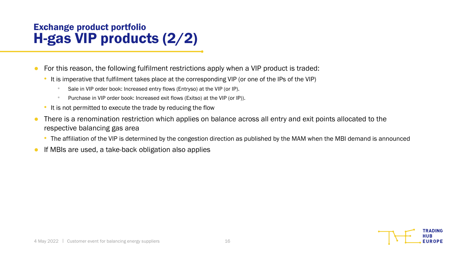### Exchange product portfolio H-gas VIP products (2/2)

- For this reason, the following fulfilment restrictions apply when a VIP product is traded:
	- It is imperative that fulfilment takes place at the corresponding VIP (or one of the IPs of the VIP)
		- Sale in VIP order book: Increased entry flows (Entryso) at the VIP (or IP).
		- Purchase in VIP order book: Increased exit flows (Exitso) at the VIP (or IP)).
	- It is not permitted to execute the trade by reducing the flow
- There is a renomination restriction which applies on balance across all entry and exit points allocated to the respective balancing gas area
	- The affiliation of the VIP is determined by the congestion direction as published by the MAM when the MBI demand is announced
- If MBIs are used, a take-back obligation also applies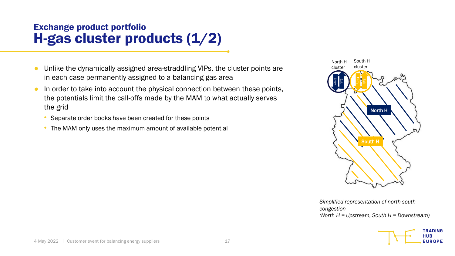### Exchange product portfolio H-gas cluster products (1/2)

- Unlike the dynamically assigned area-straddling VIPs, the cluster points are in each case permanently assigned to a balancing gas area
- In order to take into account the physical connection between these points, the potentials limit the call-offs made by the MAM to what actually serves the grid
	- Separate order books have been created for these points
	- The MAM only uses the maximum amount of available potential



*Simplified representation of north-south congestion (North H = Upstream, South H = Downstream)*

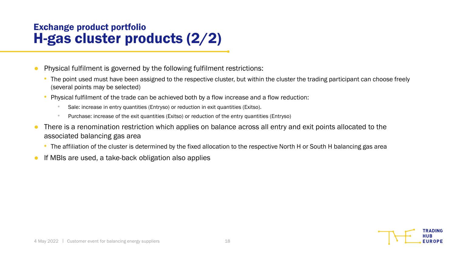### Exchange product portfolio H-gas cluster products (2/2)

- Physical fulfilment is governed by the following fulfilment restrictions:
	- The point used must have been assigned to the respective cluster, but within the cluster the trading participant can choose freely (several points may be selected)
	- Physical fulfilment of the trade can be achieved both by a flow increase and a flow reduction:
		- Sale: increase in entry quantities (Entryso) or reduction in exit quantities (Exitso).
		- Purchase: increase of the exit quantities (Exitso) or reduction of the entry quantities (Entryso)
- There is a renomination restriction which applies on balance across all entry and exit points allocated to the associated balancing gas area
	- The affiliation of the cluster is determined by the fixed allocation to the respective North H or South H balancing gas area
- If MBIs are used, a take-back obligation also applies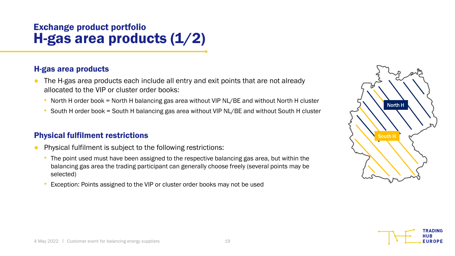### Exchange product portfolio H-gas area products (1/2)

#### H-gas area products

- The H-gas area products each include all entry and exit points that are not already allocated to the VIP or cluster order books:
	- North H order book = North H balancing gas area without VIP NL/BE and without North H cluster
	- South H order book = South H balancing gas area without VIP NL/BE and without South H cluster

#### Physical fulfilment restrictions

- Physical fulfilment is subject to the following restrictions:
	- The point used must have been assigned to the respective balancing gas area, but within the balancing gas area the trading participant can generally choose freely (several points may be selected)
	- Exception: Points assigned to the VIP or cluster order books may not be used



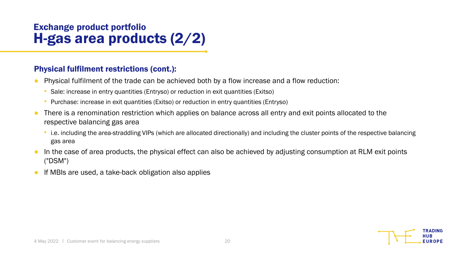### Exchange product portfolio H-gas area products (2/2)

#### Physical fulfilment restrictions (cont.):

- Physical fulfilment of the trade can be achieved both by a flow increase and a flow reduction:
	- Sale: increase in entry quantities (Entryso) or reduction in exit quantities (Exitso)
	- Purchase: increase in exit quantities (Exitso) or reduction in entry quantities (Entryso)
- There is a renomination restriction which applies on balance across all entry and exit points allocated to the respective balancing gas area
	- i.e. including the area-straddling VIPs (which are allocated directionally) and including the cluster points of the respective balancing gas area
- In the case of area products, the physical effect can also be achieved by adjusting consumption at RLM exit points ("DSM")
- If MBIs are used, a take-back obligation also applies

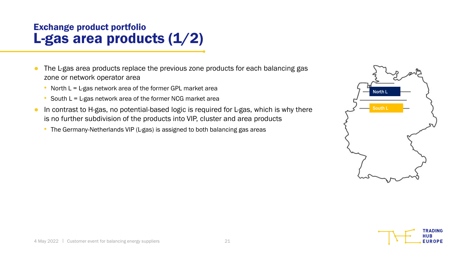### Exchange product portfolio L-gas area products (1/2)

- The L-gas area products replace the previous zone products for each balancing gas zone or network operator area
	- North  $L = L-gas$  network area of the former GPL market area
	- South  $L = L-gas$  network area of the former NCG market area
- In contrast to H-gas, no potential-based logic is required for L-gas, which is why there is no further subdivision of the products into VIP, cluster and area products
	- The Germany-Netherlands VIP (L-gas) is assigned to both balancing gas areas

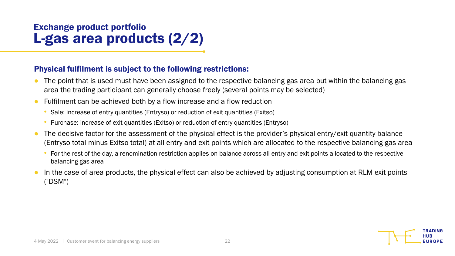### Exchange product portfolio L-gas area products (2/2)

#### Physical fulfilment is subject to the following restrictions:

- The point that is used must have been assigned to the respective balancing gas area but within the balancing gas area the trading participant can generally choose freely (several points may be selected)
- Fulfilment can be achieved both by a flow increase and a flow reduction
	- Sale: increase of entry quantities (Entryso) or reduction of exit quantities (Exitso)
	- Purchase: increase of exit quantities (Exitso) or reduction of entry quantities (Entryso)
- The decisive factor for the assessment of the physical effect is the provider's physical entry/exit quantity balance (Entryso total minus Exitso total) at all entry and exit points which are allocated to the respective balancing gas area
	- For the rest of the day, a renomination restriction applies on balance across all entry and exit points allocated to the respective balancing gas area
- In the case of area products, the physical effect can also be achieved by adjusting consumption at RLM exit points ("DSM")

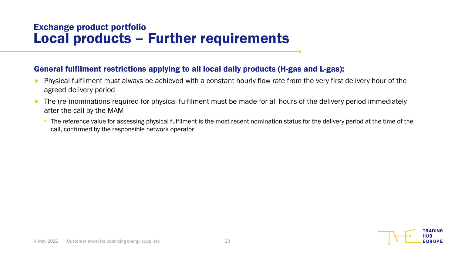#### Exchange product portfolio Local products – Further requirements

#### General fulfilment restrictions applying to all local daily products (H-gas and L-gas):

- Physical fulfilment must always be achieved with a constant hourly flow rate from the very first delivery hour of the agreed delivery period
- The (re-)nominations required for physical fulfilment must be made for all hours of the delivery period immediately after the call by the MAM
	- The reference value for assessing physical fulfilment is the most recent nomination status for the delivery period at the time of the call, confirmed by the responsible network operator

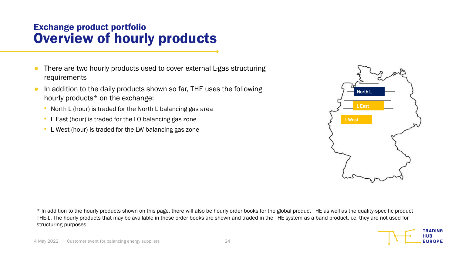#### Exchange product portfolio Overview of hourly products

- There are two hourly products used to cover external L-gas structuring requirements
- In addition to the daily products shown so far, THE uses the following hourly products\* on the exchange:
	- North L (hour) is traded for the North L balancing gas area
	- L East (hour) is traded for the LO balancing gas zone
	- L West (hour) is traded for the LW balancing gas zone



\* In addition to the hourly products shown on this page, there will also be hourly order books for the global product THE as well as the quality-specific product THE-L. The hourly products that may be available in these order books are shown and traded in the THE system as a band product, i.e. they are not used for structuring purposes.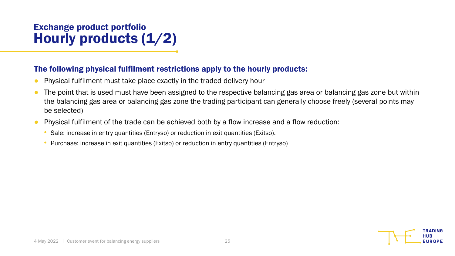### Exchange product portfolio Hourly products (1/2)

#### The following physical fulfilment restrictions apply to the hourly products:

- Physical fulfilment must take place exactly in the traded delivery hour
- The point that is used must have been assigned to the respective balancing gas area or balancing gas zone but within the balancing gas area or balancing gas zone the trading participant can generally choose freely (several points may be selected)
- Physical fulfilment of the trade can be achieved both by a flow increase and a flow reduction:
	- Sale: increase in entry quantities (Entryso) or reduction in exit quantities (Exitso).
	- Purchase: increase in exit quantities (Exitso) or reduction in entry quantities (Entryso)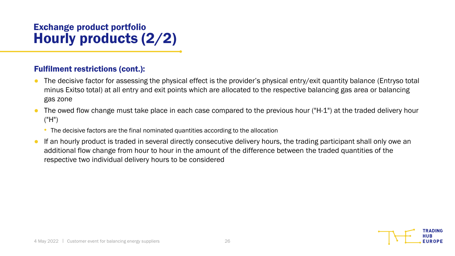### Exchange product portfolio Hourly products (2/2)

#### Fulfilment restrictions (cont.):

- The decisive factor for assessing the physical effect is the provider's physical entry/exit quantity balance (Entryso total minus Exitso total) at all entry and exit points which are allocated to the respective balancing gas area or balancing gas zone
- The owed flow change must take place in each case compared to the previous hour ("H-1") at the traded delivery hour ("H")
	- The decisive factors are the final nominated quantities according to the allocation
- If an hourly product is traded in several directly consecutive delivery hours, the trading participant shall only owe an additional flow change from hour to hour in the amount of the difference between the traded quantities of the respective two individual delivery hours to be considered

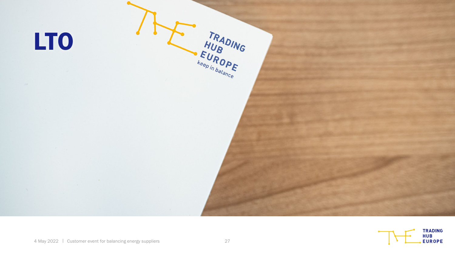

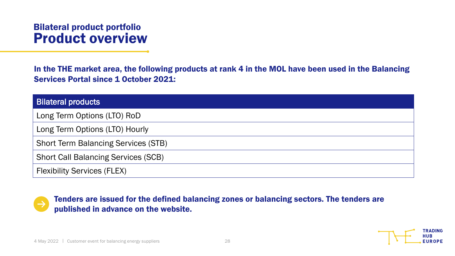#### Bilateral product portfolio Product overview

In the THE market area, the following products at rank 4 in the MOL have been used in the Balancing Services Portal since 1 October 2021:

| <b>Bilateral products</b>                  |
|--------------------------------------------|
| Long Term Options (LTO) RoD                |
| Long Term Options (LTO) Hourly             |
| <b>Short Term Balancing Services (STB)</b> |
| <b>Short Call Balancing Services (SCB)</b> |
| <b>Flexibility Services (FLEX)</b>         |

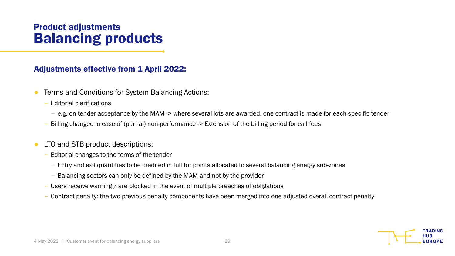#### Product adjustments Balancing products

#### Adjustments effective from 1 April 2022:

- Terms and Conditions for System Balancing Actions:
	- Editorial clarifications
		- e.g. on tender acceptance by the MAM -> where several lots are awarded, one contract is made for each specific tender
	- Billing changed in case of (partial) non-performance -> Extension of the billing period for call fees
- LTO and STB product descriptions:
	- Editorial changes to the terms of the tender
		- Entry and exit quantities to be credited in full for points allocated to several balancing energy sub-zones
		- Balancing sectors can only be defined by the MAM and not by the provider
	- Users receive warning / are blocked in the event of multiple breaches of obligations
	- Contract penalty: the two previous penalty components have been merged into one adjusted overall contract penalty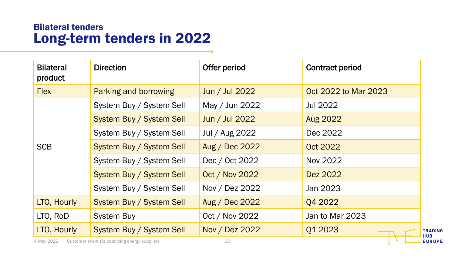#### Bilateral tenders Long-term tenders in 2022

| <b>Bilateral</b><br>product | <b>Direction</b>                | Offer period          | <b>Contract period</b> |
|-----------------------------|---------------------------------|-----------------------|------------------------|
| <b>Flex</b>                 | Parking and borrowing           | Jun / Jul 2022        | Oct 2022 to Mar 2023   |
|                             | System Buy / System Sell        | May / Jun 2022        | Jul 2022               |
|                             | <b>System Buy / System Sell</b> | Jun / Jul 2022        | <b>Aug 2022</b>        |
|                             | System Buy / System Sell        | Jul / Aug 2022        | Dec 2022               |
| <b>SCB</b>                  | System Buy / System Sell        | Aug / Dec 2022        | Oct 2022               |
|                             | System Buy / System Sell        | Dec / Oct 2022        | Nov 2022               |
|                             | System Buy / System Sell        | <b>Oct / Nov 2022</b> | Dez 2022               |
|                             | System Buy / System Sell        | Nov / Dez 2022        | Jan 2023               |
| LTO, Hourly                 | System Buy / System Sell        | Aug / Dec 2022        | Q4 2022                |
| LTO, RoD                    | <b>System Buy</b>               | Oct / Nov 2022        | Jan to Mar 2023        |
| LTO, Hourly                 | <b>System Buy / System Sell</b> | Nov / Dez 2022        | Q1 2023                |

4 May 2022 | Customer event for balancing energy suppliers **Access 120 May 2022** | Customer event for balancing energy suppliers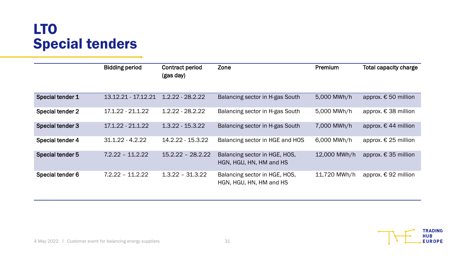# LTO Special tenders

|                  | <b>Bidding period</b> | Contract period<br>(gas day) | Zone                                                     | <b>Premium</b> | <b>Total capacity charge</b> |
|------------------|-----------------------|------------------------------|----------------------------------------------------------|----------------|------------------------------|
|                  |                       |                              |                                                          |                |                              |
| Special tender 1 | 13.12.21 - 17.12.21   | $1.2.22 - 28.2.22$           | Balancing sector in H-gas South                          | 5,000 MWh/h    | approx. € 50 million         |
| Special tender 2 | $17.1.22 - 21.1.22$   | $1.2.22 - 28.2.22$           | Balancing sector in H-gas South                          | 5,000 MWh/h    | approx. € 38 million         |
| Special tender 3 | $17.1.22 - 21.1.22$   | $1.3.22 - 15.3.22$           | Balancing sector in H-gas South                          | 7,000 MWh/h    | approx. $€$ 44 million       |
| Special tender 4 | $31.1.22 - 4.2.22$    | 14.2.22 - 15.3.22            | Balancing sector in HGE and HOS                          | 6,000 MWh/h    | approx. € 25 million         |
| Special tender 5 | $7.2.22 - 11.2.22$    | $15.2.22 - 28.2.22$          | Balancing sector in HGE, HOS,<br>HGN, HGU, HN, HM and HS | 12,000 MWh/h   | approx. € 35 million         |
| Special tender 6 | $7.2.22 - 11.2.22$    | $1.3.22 - 31.3.22$           | Balancing sector in HGE, HOS,<br>HGN, HGU, HN, HM and HS | 11,720 MWh/h   | approx. € 92 million         |

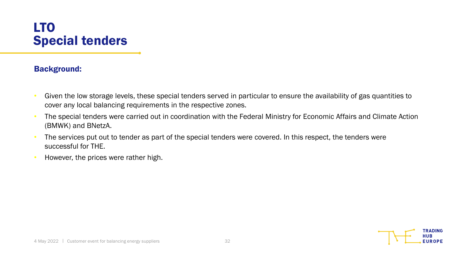### LTO Special tenders

#### Background:

- Given the low storage levels, these special tenders served in particular to ensure the availability of gas quantities to cover any local balancing requirements in the respective zones.
- The special tenders were carried out in coordination with the Federal Ministry for Economic Affairs and Climate Action (BMWK) and BNetzA.
- The services put out to tender as part of the special tenders were covered. In this respect, the tenders were successful for THE.
- However, the prices were rather high.